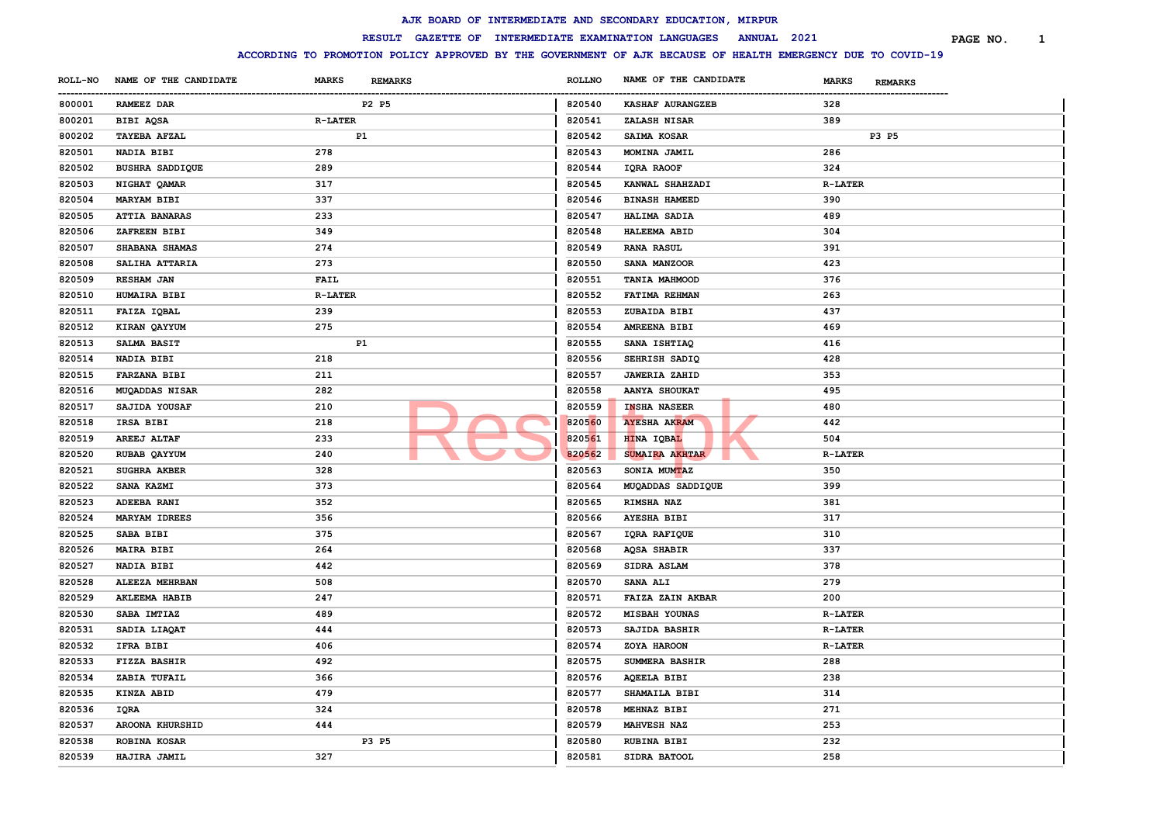## **AJK BOARD OF INTERMEDIATE AND SECONDARY EDUCATION, MIRPUR**

# **RESULT GAZETTE OF INTERMEDIATE EXAMINATION LANGUAGES ANNUAL 2021**

### **ACCORDING TO PROMOTION POLICY APPROVED BY THE GOVERNMENT OF AJK BECAUSE OF HEALTH EMERGENCY DUE TO COVID-19**

|                |                        |                | RESULT GAZETTE OF INTERMEDIATE EXAMINATION LANGUAGES |               | <b>ANNUAL 2021</b>                                                                                          |                |                | PAGE NO. | <sup>1</sup> |
|----------------|------------------------|----------------|------------------------------------------------------|---------------|-------------------------------------------------------------------------------------------------------------|----------------|----------------|----------|--------------|
|                |                        |                |                                                      |               | ACCORDING TO PROMOTION POLICY APPROVED BY THE GOVERNMENT OF AJK BECAUSE OF HEALTH EMERGENCY DUE TO COVID-19 |                |                |          |              |
| <b>ROLL-NO</b> | NAME OF THE CANDIDATE  | <b>MARKS</b>   | <b>REMARKS</b>                                       | <b>ROLLNO</b> | NAME OF THE CANDIDATE                                                                                       | <b>MARKS</b>   | <b>REMARKS</b> |          |              |
| 800001         | RAMEEZ DAR             |                | P2 P5                                                | 820540        | KASHAF AURANGZEB                                                                                            | 328            |                |          |              |
| 800201         | BIBI AQSA              | <b>R-LATER</b> |                                                      | 820541        | ZALASH NISAR                                                                                                | 389            |                |          |              |
| 800202         | <b>TAYEBA AFZAL</b>    |                | P1                                                   | 820542        | SAIMA KOSAR                                                                                                 |                | P3 P5          |          |              |
| 820501         | NADIA BIBI             | 278            |                                                      | 820543        | MOMINA JAMIL                                                                                                | 286            |                |          |              |
| 820502         | <b>BUSHRA SADDIQUE</b> | 289            |                                                      | 820544        | IQRA RAOOF                                                                                                  | 324            |                |          |              |
| 820503         | NIGHAT QAMAR           | 317            |                                                      | 820545        | KANWAL SHAHZADI                                                                                             | <b>R-LATER</b> |                |          |              |
| 820504         | <b>MARYAM BIBI</b>     | 337            |                                                      | 820546        | <b>BINASH HAMEED</b>                                                                                        | 390            |                |          |              |
| 820505         | <b>ATTIA BANARAS</b>   | 233            |                                                      | 820547        | HALIMA SADIA                                                                                                | 489            |                |          |              |
| 820506         | ZAFREEN BIBI           | 349            |                                                      | 820548        | <b>HALEEMA ABID</b>                                                                                         | 304            |                |          |              |
| 820507         | SHABANA SHAMAS         | 274            |                                                      | 820549        | <b>RANA RASUL</b>                                                                                           | 391            |                |          |              |
| 820508         | SALIHA ATTARIA         | 273            |                                                      | 820550        | SANA MANZOOR                                                                                                | 423            |                |          |              |
| 820509         | <b>RESHAM JAN</b>      | FAIL           |                                                      | 820551        | <b>TANIA MAHMOOD</b>                                                                                        | 376            |                |          |              |
| 820510         | HUMAIRA BIBI           | <b>R-LATER</b> |                                                      | 820552        | FATIMA REHMAN                                                                                               | 263            |                |          |              |
| 820511         | FAIZA IQBAL            | 239            |                                                      | 820553        | ZUBAIDA BIBI                                                                                                | 437            |                |          |              |
| 820512         | KIRAN QAYYUM           | 275            |                                                      | 820554        | AMREENA BIBI                                                                                                | 469            |                |          |              |
| 820513         | <b>SALMA BASIT</b>     |                | P1                                                   | 820555        | SANA ISHTIAQ                                                                                                | 416            |                |          |              |
| 820514         | NADIA BIBI             | 218            |                                                      | 820556        | SEHRISH SADIQ                                                                                               | 428            |                |          |              |
| 820515         | <b>FARZANA BIBI</b>    | 211            |                                                      | 820557        | <b>JAWERIA ZAHID</b>                                                                                        | 353            |                |          |              |
| 820516         | MUQADDAS NISAR         | 282            |                                                      | 820558        | AANYA SHOUKAT                                                                                               | 495            |                |          |              |
| 820517         | SAJIDA YOUSAF          | 210            |                                                      | 820559        | <b>INSHA NASEER</b>                                                                                         | 480            |                |          |              |
| 820518         | IRSA BIBI              | 218            |                                                      | 820560        | <b>AYESHA AKRAM</b>                                                                                         | 442            |                |          |              |
| 820519         | <b>AREEJ ALTAF</b>     | 233            |                                                      | 820561        | HINA IQBAL                                                                                                  | 504            |                |          |              |
| 820520         | RUBAB QAYYUM           | 240            |                                                      | 820562        | SUMAIRA AKHTAR                                                                                              | <b>R-LATER</b> |                |          |              |
| 820521         | <b>SUGHRA AKBER</b>    | 328            |                                                      | 820563        | SONIA MUMTAZ                                                                                                | 350            |                |          |              |
| 820522         | <b>SANA KAZMI</b>      | 373            |                                                      | 820564        | MUQADDAS SADDIQUE                                                                                           | 399            |                |          |              |
| 820523         | ADEEBA RANI            | 352            |                                                      | 820565        | RIMSHA NAZ                                                                                                  | 381            |                |          |              |
| 820524         | <b>MARYAM IDREES</b>   | 356            |                                                      | 820566        | <b>AYESHA BIBI</b>                                                                                          | 317            |                |          |              |
| 820525         | <b>SABA BIBI</b>       | 375            |                                                      | 820567        | IQRA RAFIQUE                                                                                                | 310            |                |          |              |
| 820526         | <b>MAIRA BIBI</b>      | 264            |                                                      | 820568        | AQSA SHABIR                                                                                                 | 337            |                |          |              |
| 820527         | NADIA BIBI             | 442            |                                                      | 820569        | SIDRA ASLAM                                                                                                 | 378            |                |          |              |
| 820528         | <b>ALEEZA MEHRBAN</b>  | 508            |                                                      | 820570        | SANA ALI                                                                                                    | 279            |                |          |              |
| 820529         | <b>AKLEEMA HABIB</b>   | 247            |                                                      | 820571        | FAIZA ZAIN AKBAR                                                                                            | 200            |                |          |              |
| 820530         | <b>SABA IMTIAZ</b>     | 489            |                                                      | 820572        | <b>MISBAH YOUNAS</b>                                                                                        | <b>R-LATER</b> |                |          |              |
| 820531         | SADIA LIAQAT           | 444            |                                                      | 820573        | SAJIDA BASHIR                                                                                               | <b>R-LATER</b> |                |          |              |
| 820532         | IFRA BIBI              | 406            |                                                      | 820574        | ZOYA HAROON                                                                                                 | <b>R-LATER</b> |                |          |              |
| 820533         | <b>FIZZA BASHIR</b>    | 492            |                                                      | 820575        | SUMMERA BASHIR                                                                                              | 288            |                |          |              |
| 820534         | ZABIA TUFAIL           | 366            |                                                      | 820576        | <b>AQEELA BIBI</b>                                                                                          | 238            |                |          |              |
| 820535         | KINZA ABID             | 479            |                                                      | 820577        | SHAMAILA BIBI                                                                                               | 314            |                |          |              |
| 820536         | IQRA                   | 324            |                                                      | 820578        | MEHNAZ BIBI                                                                                                 | 271            |                |          |              |
| 820537         | AROONA KHURSHID        | 444            |                                                      | 820579        | <b>MAHVESH NAZ</b>                                                                                          | 253            |                |          |              |
| 820538         | ROBINA KOSAR           |                | P3 P5                                                | 820580        | <b>RUBINA BIBI</b>                                                                                          | 232            |                |          |              |
| 820539         | HAJIRA JAMIL           | 327            |                                                      | 820581        | SIDRA BATOOL                                                                                                | 258            |                |          |              |